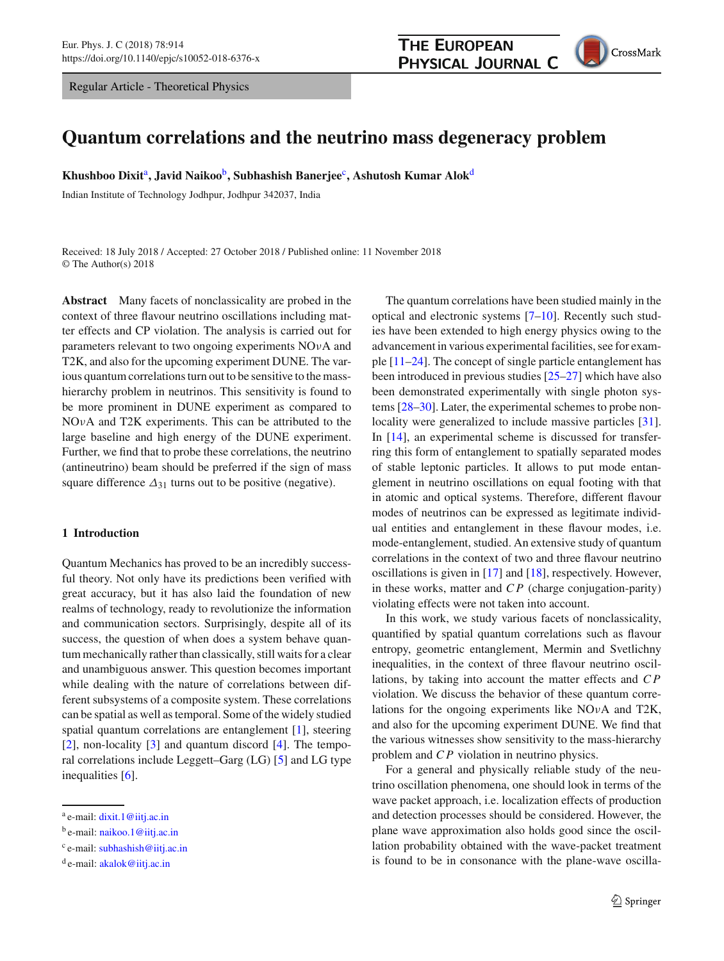Regular Article - Theoretical Physics



# **Quantum correlations and the neutrino mass degeneracy problem**

**Khushboo Dixit**<sup>a</sup> **, Javid Naikoo**<sup>b</sup> **, Subhashish Banerjee**<sup>c</sup> **, Ashutosh Kumar Alok**<sup>d</sup>

Indian Institute of Technology Jodhpur, Jodhpur 342037, India

Received: 18 July 2018 / Accepted: 27 October 2018 / Published online: 11 November 2018 © The Author(s) 2018

**Abstract** Many facets of nonclassicality are probed in the context of three flavour neutrino oscillations including matter effects and CP violation. The analysis is carried out for parameters relevant to two ongoing experiments NOνA and T2K, and also for the upcoming experiment DUNE. The various quantum correlations turn out to be sensitive to the masshierarchy problem in neutrinos. This sensitivity is found to be more prominent in DUNE experiment as compared to NOνA and T2K experiments. This can be attributed to the large baseline and high energy of the DUNE experiment. Further, we find that to probe these correlations, the neutrino (antineutrino) beam should be preferred if the sign of mass square difference  $\Delta_{31}$  turns out to be positive (negative).

# **1 Introduction**

Quantum Mechanics has proved to be an incredibly successful theory. Not only have its predictions been verified with great accuracy, but it has also laid the foundation of new realms of technology, ready to revolutionize the information and communication sectors. Surprisingly, despite all of its success, the question of when does a system behave quantum mechanically rather than classically, still waits for a clear and unambiguous answer. This question becomes important while dealing with the nature of correlations between different subsystems of a composite system. These correlations can be spatial as well as temporal. Some of the widely studied spatial quantum correlations are entanglement [\[1\]](#page-6-0), steering [\[2](#page-6-1)], non-locality [\[3\]](#page-6-2) and quantum discord [\[4\]](#page-6-3). The temporal correlations include Leggett–Garg (LG) [\[5\]](#page-6-4) and LG type inequalities [\[6\]](#page-6-5).

The quantum correlations have been studied mainly in the optical and electronic systems [\[7](#page-6-6)[–10\]](#page-6-7). Recently such studies have been extended to high energy physics owing to the advancement in various experimental facilities, see for example  $[11–24]$  $[11–24]$ . The concept of single particle entanglement has been introduced in previous studies [\[25](#page-6-10)[–27\]](#page-6-11) which have also been demonstrated experimentally with single photon systems [\[28](#page-6-12)[–30](#page-6-13)]. Later, the experimental schemes to probe non-locality were generalized to include massive particles [\[31](#page-6-14)]. In [\[14](#page-6-15)], an experimental scheme is discussed for transferring this form of entanglement to spatially separated modes of stable leptonic particles. It allows to put mode entanglement in neutrino oscillations on equal footing with that in atomic and optical systems. Therefore, different flavour modes of neutrinos can be expressed as legitimate individual entities and entanglement in these flavour modes, i.e. mode-entanglement, studied. An extensive study of quantum correlations in the context of two and three flavour neutrino oscillations is given in [\[17](#page-6-16)] and [\[18](#page-6-17)], respectively. However, in these works, matter and *C P* (charge conjugation-parity) violating effects were not taken into account.

In this work, we study various facets of nonclassicality, quantified by spatial quantum correlations such as flavour entropy, geometric entanglement, Mermin and Svetlichny inequalities, in the context of three flavour neutrino oscillations, by taking into account the matter effects and *C P* violation. We discuss the behavior of these quantum correlations for the ongoing experiments like NOνA and T2K, and also for the upcoming experiment DUNE. We find that the various witnesses show sensitivity to the mass-hierarchy problem and *C P* violation in neutrino physics.

For a general and physically reliable study of the neutrino oscillation phenomena, one should look in terms of the wave packet approach, i.e. localization effects of production and detection processes should be considered. However, the plane wave approximation also holds good since the oscillation probability obtained with the wave-packet treatment is found to be in consonance with the plane-wave oscilla-

<sup>&</sup>lt;sup>a</sup> e-mail: [dixit.1@iitj.ac.in](mailto:dixit.1@iitj.ac.in)

<sup>&</sup>lt;sup>b</sup> e-mail: [naikoo.1@iitj.ac.in](mailto:naikoo.1@iitj.ac.in)

<sup>&</sup>lt;sup>c</sup> e-mail: [subhashish@iitj.ac.in](mailto:subhashish@iitj.ac.in)

<sup>&</sup>lt;sup>d</sup> e-mail: [akalok@iitj.ac.in](mailto:akalok@iitj.ac.in)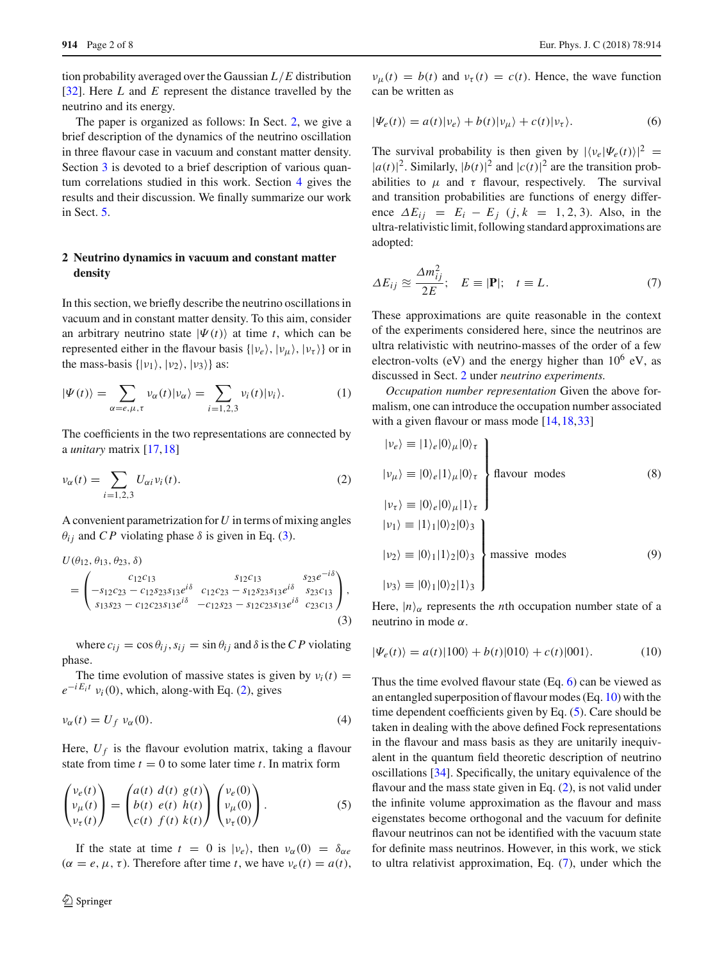tion probability averaged over the Gaussian *L*/*E* distribution [\[32](#page-6-18)]. Here *L* and *E* represent the distance travelled by the neutrino and its energy.

The paper is organized as follows: In Sect. [2,](#page-1-0) we give a brief description of the dynamics of the neutrino oscillation in three flavour case in vacuum and constant matter density. Section [3](#page-2-0) is devoted to a brief description of various quantum correlations studied in this work. Section [4](#page-3-0) gives the results and their discussion. We finally summarize our work in Sect. [5.](#page-6-19)

# <span id="page-1-0"></span>**2 Neutrino dynamics in vacuum and constant matter density**

In this section, we briefly describe the neutrino oscillations in vacuum and in constant matter density. To this aim, consider an arbitrary neutrino state  $|\Psi(t)\rangle$  at time *t*, which can be represented either in the flavour basis  $\{|v_e\rangle, |v_\mu\rangle, |v_\tau\rangle\}$  or in the mass-basis  $\{|v_1\rangle, |v_2\rangle, |v_3\rangle\}$  as:

$$
|\Psi(t)\rangle = \sum_{\alpha=e,\mu,\tau} \nu_{\alpha}(t) |\nu_{\alpha}\rangle = \sum_{i=1,2,3} \nu_{i}(t) |\nu_{i}\rangle.
$$
 (1)

<span id="page-1-2"></span>The coefficients in the two representations are connected by a *unitary* matrix [\[17](#page-6-16)[,18](#page-6-17)]

$$
\nu_{\alpha}(t) = \sum_{i=1,2,3} U_{\alpha i} \nu_i(t). \tag{2}
$$

A convenient parametrization for*U* in terms of mixing angles  $\theta_{ij}$  and *CP* violating phase  $\delta$  is given in Eq. [\(3\)](#page-1-1).

<span id="page-1-1"></span>
$$
U(\theta_{12}, \theta_{13}, \theta_{23}, \delta)
$$
  
= 
$$
\begin{pmatrix} c_{12}c_{13} & s_{12}c_{13} & s_{23}e^{-i\delta} \\ -s_{12}c_{23} - c_{12}s_{23}s_{13}e^{i\delta} & c_{12}c_{23} - s_{12}s_{23}s_{13}e^{i\delta} & s_{23}c_{13} \\ s_{13}s_{23} - c_{12}c_{23}s_{13}e^{i\delta} & -c_{12}s_{23} - s_{12}c_{23}s_{13}e^{i\delta} & c_{23}c_{13} \end{pmatrix},
$$
(3)

where  $c_{ij} = \cos \theta_{ij}$ ,  $s_{ij} = \sin \theta_{ij}$  and  $\delta$  is the *CP* violating phase.

The time evolution of massive states is given by  $v_i(t) =$  $e^{-iE_i t}$   $v_i(0)$ , which, along-with Eq. [\(2\)](#page-1-2), gives

$$
\nu_{\alpha}(t) = U_f \, \nu_{\alpha}(0). \tag{4}
$$

Here,  $U_f$  is the flavour evolution matrix, taking a flavour state from time  $t = 0$  to some later time  $t$ . In matrix form

$$
\begin{pmatrix}\nv_e(t) \\
v_\mu(t) \\
v_\tau(t)\n\end{pmatrix} = \begin{pmatrix}\na(t) & d(t) & g(t) \\
b(t) & e(t) & h(t) \\
c(t) & f(t) & k(t)\n\end{pmatrix} \begin{pmatrix}\nv_e(0) \\
v_\mu(0) \\
v_\tau(0)\n\end{pmatrix}.
$$
\n(5)

If the state at time  $t = 0$  is  $|v_e\rangle$ , then  $v_\alpha(0) = \delta_{\alpha e}$  $(\alpha = e, \mu, \tau)$ . Therefore after time *t*, we have  $v_e(t) = a(t)$ ,

<span id="page-1-3"></span> $\nu_{\mu}(t) = b(t)$  and  $\nu_{\tau}(t) = c(t)$ . Hence, the wave function can be written as

$$
|\Psi_e(t)\rangle = a(t)|\nu_e\rangle + b(t)|\nu_\mu\rangle + c(t)|\nu_\tau\rangle.
$$
 (6)

The survival probability is then given by  $|\langle v_e | \Psi_e(t) \rangle|^2$  =  $|a(t)|^2$ . Similarly,  $|b(t)|^2$  and  $|c(t)|^2$  are the transition probabilities to  $\mu$  and  $\tau$  flavour, respectively. The survival and transition probabilities are functions of energy difference  $\Delta E_{ij} = E_i - E_j$  (*j*,  $k = 1, 2, 3$ ). Also, in the ultra-relativistic limit, following standard approximations are adopted:

<span id="page-1-6"></span>
$$
\Delta E_{ij} \approx \frac{\Delta m_{ij}^2}{2E}; \quad E \equiv |\mathbf{P}|; \quad t \equiv L. \tag{7}
$$

These approximations are quite reasonable in the context of the experiments considered here, since the neutrinos are ultra relativistic with neutrino-masses of the order of a few electron-volts (eV) and the energy higher than  $10^6$  eV, as discussed in Sect. [2](#page-1-0) under *neutrino experiments.*

*Occupation number representation* Given the above formalism, one can introduce the occupation number associated with a given flavour or mass mode [\[14](#page-6-15)[,18](#page-6-17)[,33](#page-6-20)]

$$
|v_e\rangle \equiv |1\rangle_e |0\rangle_\mu |0\rangle_\tau
$$
  
\n
$$
|v_\mu\rangle \equiv |0\rangle_e |1\rangle_\mu |0\rangle_\tau
$$
  
\n
$$
|v_\tau\rangle \equiv |0\rangle_e |0\rangle_\mu |1\rangle_\tau
$$
  
\n
$$
|v_1\rangle \equiv |1\rangle_1 |0\rangle_2 |0\rangle_3
$$
  
\n
$$
|v_2\rangle \equiv |0\rangle_1 |1\rangle_2 |0\rangle_3
$$
  
\nmassive modes  
\n(9)  
\n
$$
|v_3\rangle \equiv |0\rangle_1 |0\rangle_2 |1\rangle_3
$$

<span id="page-1-4"></span>Here,  $|n\rangle_{\alpha}$  represents the *n*th occupation number state of a neutrino in mode  $\alpha$ .

$$
|\Psi_e(t)\rangle = a(t)|100\rangle + b(t)|010\rangle + c(t)|001\rangle.
$$
 (10)

<span id="page-1-7"></span><span id="page-1-5"></span>Thus the time evolved flavour state (Eq. [6\)](#page-1-3) can be viewed as an entangled superposition of flavour modes (Eq. [10\)](#page-1-4) with the time dependent coefficients given by Eq. [\(5\)](#page-1-5). Care should be taken in dealing with the above defined Fock representations in the flavour and mass basis as they are unitarily inequivalent in the quantum field theoretic description of neutrino oscillations [\[34](#page-6-21)]. Specifically, the unitary equivalence of the flavour and the mass state given in Eq. [\(2\)](#page-1-2), is not valid under the infinite volume approximation as the flavour and mass eigenstates become orthogonal and the vacuum for definite flavour neutrinos can not be identified with the vacuum state for definite mass neutrinos. However, in this work, we stick to ultra relativist approximation, Eq. [\(7\)](#page-1-6), under which the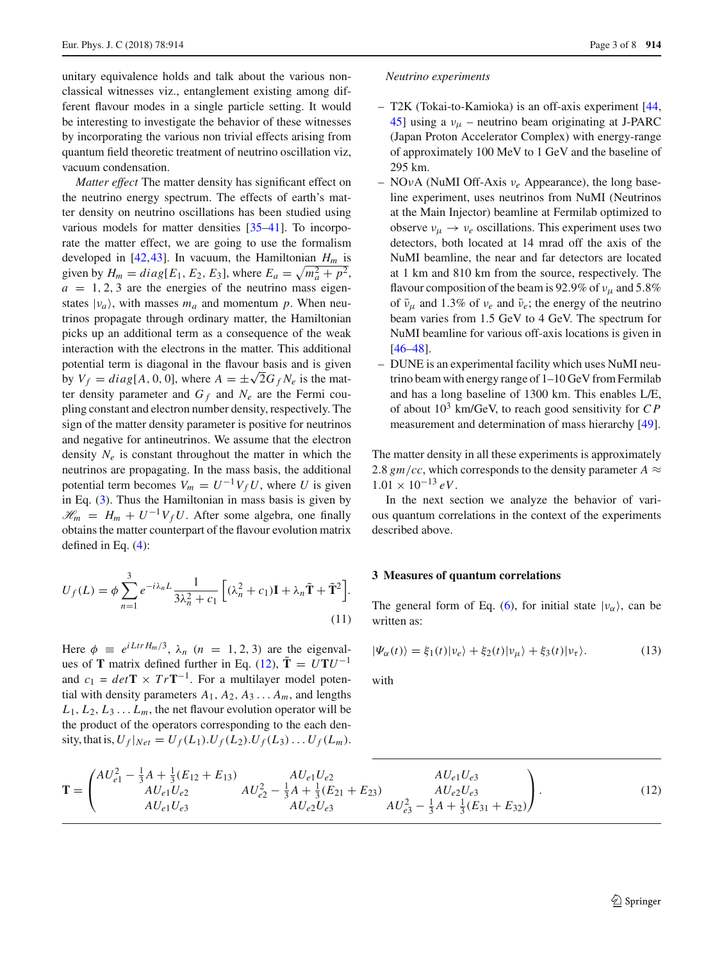unitary equivalence holds and talk about the various nonclassical witnesses viz., entanglement existing among different flavour modes in a single particle setting. It would be interesting to investigate the behavior of these witnesses by incorporating the various non trivial effects arising from quantum field theoretic treatment of neutrino oscillation viz, vacuum condensation.

*Matter effect* The matter density has significant effect on the neutrino energy spectrum. The effects of earth's matter density on neutrino oscillations has been studied using various models for matter densities [\[35](#page-6-22)[–41\]](#page-6-23). To incorporate the matter effect, we are going to use the formalism developed in [\[42](#page-6-24)[,43](#page-6-25)]. In vacuum, the Hamiltonian *H<sup>m</sup>* is given by  $H_m = diag[E_1, E_2, E_3]$ , where  $E_a = \sqrt{m_a^2 + p^2}$ ,  $a = 1, 2, 3$  are the energies of the neutrino mass eigenstates  $|v_a\rangle$ , with masses  $m_a$  and momentum  $p$ . When neutrinos propagate through ordinary matter, the Hamiltonian picks up an additional term as a consequence of the weak interaction with the electrons in the matter. This additional potential term is diagonal in the flavour basis and is given by  $V_f = diag[A, 0, 0]$ , where  $A = \pm \sqrt{2} G_f N_e$  is the matter density parameter and  $G_f$  and  $N_e$  are the Fermi coupling constant and electron number density, respectively. The sign of the matter density parameter is positive for neutrinos and negative for antineutrinos. We assume that the electron density *N<sup>e</sup>* is constant throughout the matter in which the neutrinos are propagating. In the mass basis, the additional potential term becomes  $V_m = U^{-1}V_fU$ , where *U* is given in Eq. [\(3\)](#page-1-1). Thus the Hamiltonian in mass basis is given by  $\mathcal{H}_m = H_m + U^{-1}V_fU$ . After some algebra, one finally obtains the matter counterpart of the flavour evolution matrix defined in Eq. [\(4\)](#page-1-7):

<span id="page-2-2"></span>
$$
U_f(L) = \phi \sum_{n=1}^{3} e^{-i\lambda_n L} \frac{1}{3\lambda_n^2 + c_1} \left[ (\lambda_n^2 + c_1) \mathbf{I} + \lambda_n \tilde{\mathbf{T}} + \tilde{\mathbf{T}}^2 \right].
$$
\n(11)

Here  $\phi \equiv e^{iLtrH_m/3}$ ,  $\lambda_n$  (*n* = 1, 2, 3) are the eigenvalues of **T** matrix defined further in Eq. [\(12\)](#page-2-1),  $\tilde{\mathbf{T}} = U \mathbf{T} U^{-1}$ and  $c_1 = det \mathbf{T} \times Tr \mathbf{T}^{-1}$ . For a multilayer model potential with density parameters  $A_1, A_2, A_3 \ldots A_m$ , and lengths  $L_1, L_2, L_3, \ldots, L_m$ , the net flavour evolution operator will be the product of the operators corresponding to the each den- $\frac{1}{2}$  sity, that is,  $U_f|_{Net} = U_f(L_1) \cdot U_f(L_2) \cdot U_f(L_3) \cdot \ldots \cdot U_f(L_m) \cdot$ 

#### *Neutrino experiments*

- T2K (Tokai-to-Kamioka) is an off-axis experiment [\[44,](#page-6-26) [45](#page-6-27)] using a  $v_{\mu}$  – neutrino beam originating at J-PARC (Japan Proton Accelerator Complex) with energy-range of approximately 100 MeV to 1 GeV and the baseline of 295 km.
- NOνA (NuMI Off-Axis ν*<sup>e</sup>* Appearance), the long baseline experiment, uses neutrinos from NuMI (Neutrinos at the Main Injector) beamline at Fermilab optimized to observe  $v_{\mu} \rightarrow v_e$  oscillations. This experiment uses two detectors, both located at 14 mrad off the axis of the NuMI beamline, the near and far detectors are located at 1 km and 810 km from the source, respectively. The flavour composition of the beam is 92.9% of  $v_{\mu}$  and 5.8% of  $\bar{v}_{\mu}$  and 1.3% of  $v_e$  and  $\bar{v}_e$ ; the energy of the neutrino beam varies from 1.5 GeV to 4 GeV. The spectrum for NuMI beamline for various off-axis locations is given in [\[46](#page-6-28)[–48](#page-7-0)].
- DUNE is an experimental facility which uses NuMI neutrino beam with energy range of 1–10 GeV from Fermilab and has a long baseline of 1300 km. This enables L/E, of about 10<sup>3</sup> km/GeV, to reach good sensitivity for *C P* measurement and determination of mass hierarchy [\[49\]](#page-7-1).

The matter density in all these experiments is approximately 2.8  $gm/cc$ , which corresponds to the density parameter  $A \approx$  $1.01 \times 10^{-13} eV$ .

In the next section we analyze the behavior of various quantum correlations in the context of the experiments described above.

#### <span id="page-2-0"></span>**3 Measures of quantum correlations**

<span id="page-2-3"></span>The general form of Eq. [\(6\)](#page-1-3), for initial state  $|v_{\alpha}\rangle$ , can be written as:

$$
|\Psi_{\alpha}(t)\rangle = \xi_1(t)|\nu_e\rangle + \xi_2(t)|\nu_\mu\rangle + \xi_3(t)|\nu_\tau\rangle.
$$
 (13)

with

<span id="page-2-1"></span>
$$
\mathbf{T} = \begin{pmatrix} AU_{e1}^2 - \frac{1}{3}A + \frac{1}{3}(E_{12} + E_{13}) & AU_{e1}U_{e2} & AU_{e1}U_{e3} \\ AU_{e1}U_{e2} & AU_{e2} - \frac{1}{3}A + \frac{1}{3}(E_{21} + E_{23}) & AU_{e2}U_{e3} \\ AU_{e1}U_{e3} & AU_{e2}U_{e3} & AU_{e3}^2 - \frac{1}{3}A + \frac{1}{3}(E_{31} + E_{32}) \end{pmatrix}.
$$
 (12)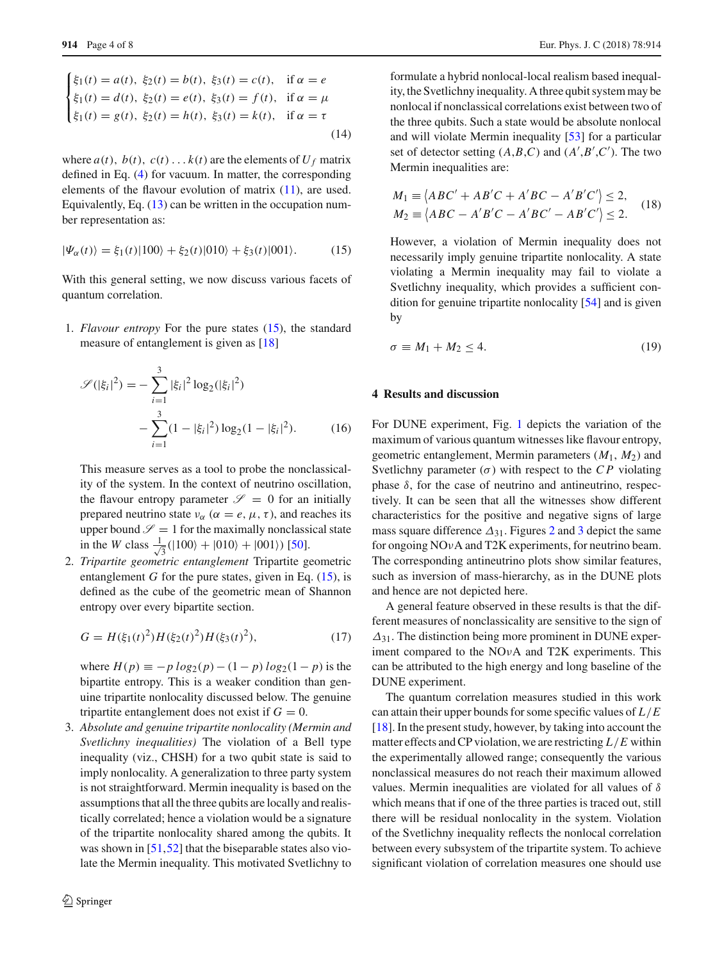$$
\begin{cases}\n\xi_1(t) = a(t), \ \xi_2(t) = b(t), \ \xi_3(t) = c(t), \quad \text{if } \alpha = e \\
\xi_1(t) = d(t), \ \xi_2(t) = e(t), \ \xi_3(t) = f(t), \quad \text{if } \alpha = \mu \\
\xi_1(t) = g(t), \ \xi_2(t) = h(t), \ \xi_3(t) = k(t), \quad \text{if } \alpha = \tau\n\end{cases}
$$
\n(14)

where  $a(t)$ ,  $b(t)$ ,  $c(t)$ ...  $k(t)$  are the elements of  $U_f$  matrix defined in Eq. [\(4\)](#page-1-7) for vacuum. In matter, the corresponding elements of the flavour evolution of matrix [\(11\)](#page-2-2), are used. Equivalently, Eq. [\(13\)](#page-2-3) can be written in the occupation number representation as:

<span id="page-3-1"></span>
$$
|\Psi_{\alpha}(t)\rangle = \xi_1(t)|100\rangle + \xi_2(t)|010\rangle + \xi_3(t)|001\rangle. \tag{15}
$$

With this general setting, we now discuss various facets of quantum correlation.

1. *Flavour entropy* For the pure states [\(15\)](#page-3-1), the standard measure of entanglement is given as [\[18](#page-6-17)]

$$
\mathcal{S}(|\xi_i|^2) = -\sum_{i=1}^3 |\xi_i|^2 \log_2(|\xi_i|^2) - \sum_{i=1}^3 (1 - |\xi_i|^2) \log_2(1 - |\xi_i|^2).
$$
 (16)

This measure serves as a tool to probe the nonclassicality of the system. In the context of neutrino oscillation, the flavour entropy parameter  $\mathscr{S} = 0$  for an initially prepared neutrino state  $v_{\alpha}$  ( $\alpha = e, \mu, \tau$ ), and reaches its upper bound  $\mathscr{S} = 1$  for the maximally nonclassical state in the *W* class  $\frac{1}{\sqrt{2}}$  $\frac{1}{3}(|100\rangle + |010\rangle + |001\rangle)$  [\[50\]](#page-7-2).

2. *Tripartite geometric entanglement* Tripartite geometric entanglement *G* for the pure states, given in Eq.  $(15)$ , is defined as the cube of the geometric mean of Shannon entropy over every bipartite section.

$$
G = H(\xi_1(t)^2)H(\xi_2(t)^2)H(\xi_3(t)^2),\tag{17}
$$

where  $H(p) \equiv -p \log_2(p) - (1-p) \log_2(1-p)$  is the bipartite entropy. This is a weaker condition than genuine tripartite nonlocality discussed below. The genuine tripartite entanglement does not exist if  $G = 0$ .

3. *Absolute and genuine tripartite nonlocality (Mermin and Svetlichny inequalities)* The violation of a Bell type inequality (viz., CHSH) for a two qubit state is said to imply nonlocality. A generalization to three party system is not straightforward. Mermin inequality is based on the assumptions that all the three qubits are locally and realistically correlated; hence a violation would be a signature of the tripartite nonlocality shared among the qubits. It was shown in [\[51](#page-7-3)[,52](#page-7-4)] that the biseparable states also violate the Mermin inequality. This motivated Svetlichny to

formulate a hybrid nonlocal-local realism based inequality, the Svetlichny inequality. A three qubit system may be nonlocal if nonclassical correlations exist between two of the three qubits. Such a state would be absolute nonlocal and will violate Mermin inequality [\[53\]](#page-7-5) for a particular set of detector setting  $(A, B, C)$  and  $(A', B', C')$ . The two Mermin inequalities are:

$$
M_1 \equiv \langle ABC' + AB'C + A'B'C - A'B'C' \rangle \le 2,
$$
  
\n
$$
M_2 \equiv \langle ABC - A'B'C - A'B'C' - AB'C' \rangle \le 2.
$$
\n(18)

However, a violation of Mermin inequality does not necessarily imply genuine tripartite nonlocality. A state violating a Mermin inequality may fail to violate a Svetlichny inequality, which provides a sufficient condition for genuine tripartite nonlocality [\[54](#page-7-6)] and is given by

$$
\sigma \equiv M_1 + M_2 \le 4. \tag{19}
$$

### <span id="page-3-0"></span>**4 Results and discussion**

<span id="page-3-2"></span>For DUNE experiment, Fig. [1](#page-4-0) depicts the variation of the maximum of various quantum witnesses like flavour entropy, geometric entanglement, Mermin parameters (*M*1, *M*2) and Svetlichny parameter  $(\sigma)$  with respect to the *CP* violating phase δ, for the case of neutrino and antineutrino, respectively. It can be seen that all the witnesses show different characteristics for the positive and negative signs of large mass square difference  $\Delta_{31}$  $\Delta_{31}$  $\Delta_{31}$ . Figures [2](#page-5-0) and 3 depict the same for ongoing NOνA and T2K experiments, for neutrino beam. The corresponding antineutrino plots show similar features, such as inversion of mass-hierarchy, as in the DUNE plots and hence are not depicted here.

<span id="page-3-3"></span>A general feature observed in these results is that the different measures of nonclassicality are sensitive to the sign of  $\Delta_{31}$ . The distinction being more prominent in DUNE experiment compared to the NOνA and T2K experiments. This can be attributed to the high energy and long baseline of the DUNE experiment.

The quantum correlation measures studied in this work can attain their upper bounds for some specific values of *L*/*E* [\[18](#page-6-17)]. In the present study, however, by taking into account the matter effects and CP violation, we are restricting *L*/*E* within the experimentally allowed range; consequently the various nonclassical measures do not reach their maximum allowed values. Mermin inequalities are violated for all values of  $\delta$ which means that if one of the three parties is traced out, still there will be residual nonlocality in the system. Violation of the Svetlichny inequality reflects the nonlocal correlation between every subsystem of the tripartite system. To achieve significant violation of correlation measures one should use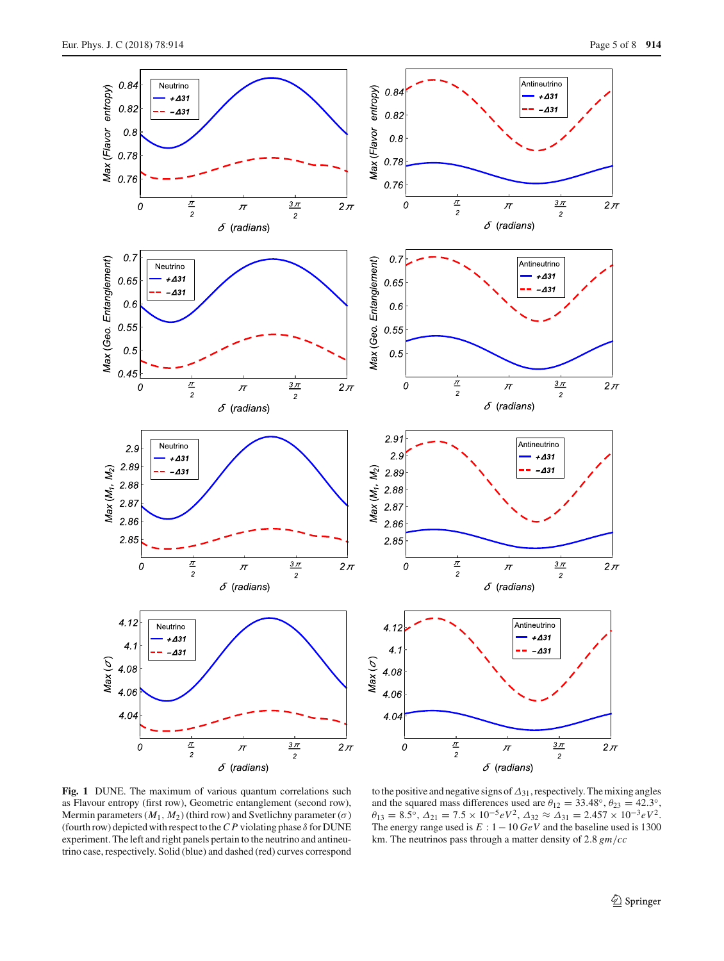

<span id="page-4-0"></span>**Fig. 1** DUNE. The maximum of various quantum correlations such as Flavour entropy (first row), Geometric entanglement (second row), Mermin parameters  $(M_1, M_2)$  (third row) and Svetlichny parameter  $(\sigma)$ (fourth row) depicted with respect to the  $CP$  violating phase  $\delta$  for DUNE experiment. The left and right panels pertain to the neutrino and antineutrino case, respectively. Solid (blue) and dashed (red) curves correspond

to the positive and negative signs of∆31, respectively. The mixing angles and the squared mass differences used are  $\theta_{12} = 33.48^\circ$ ,  $\theta_{23} = 42.3^\circ$ ,  $\theta_{13} = 8.5^\circ$ ,  $\Delta_{21} = 7.5 \times 10^{-5} eV^2$ ,  $\Delta_{32} \approx \Delta_{31} = 2.457 \times 10^{-3} eV^2$ . The energy range used is *E* : 1−10 *GeV* and the baseline used is 1300 km. The neutrinos pass through a matter density of 2.8 *gm*/*cc*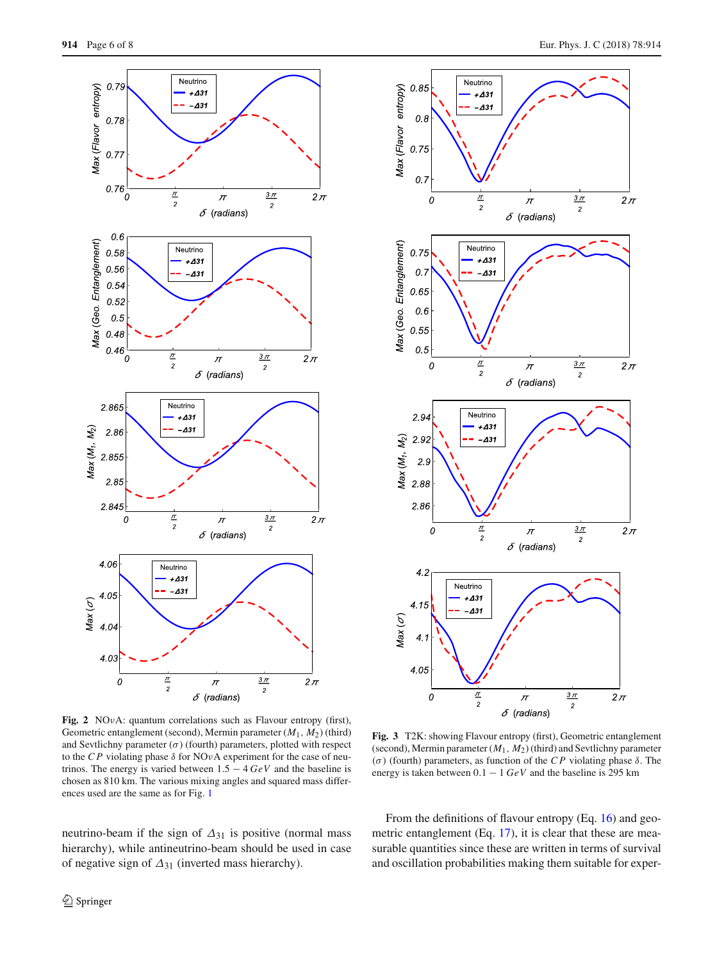

<span id="page-5-0"></span>**Fig. 2** NOνA: quantum correlations such as Flavour entropy (first), Geometric entanglement (second), Mermin parameter (*M*1, *M*2) (third) and Sevtlichny parameter  $(\sigma)$  (fourth) parameters, plotted with respect to the *CP* violating phase  $\delta$  for NO<sub>v</sub>A experiment for the case of neutrinos. The energy is varied between 1.5 − 4 *GeV* and the baseline is chosen as 810 km. The various mixing angles and squared mass differences used are the same as for Fig. [1](#page-4-0)

neutrino-beam if the sign of  $\Delta_{31}$  is positive (normal mass hierarchy), while antineutrino-beam should be used in case of negative sign of  $\Delta_{31}$  (inverted mass hierarchy).



<span id="page-5-1"></span>**Fig. 3** T2K: showing Flavour entropy (first), Geometric entanglement (second), Mermin parameter (*M*1, *M*2) (third) and Sevtlichny parameter (σ ) (fourth) parameters, as function of the *C P* violating phase δ. The energy is taken between 0.1 − 1 *GeV* and the baseline is 295 km

From the definitions of flavour entropy (Eq. [16\)](#page-3-2) and geo-metric entanglement (Eq. [17\)](#page-3-3), it is clear that these are measurable quantities since these are written in terms of survival and oscillation probabilities making them suitable for exper-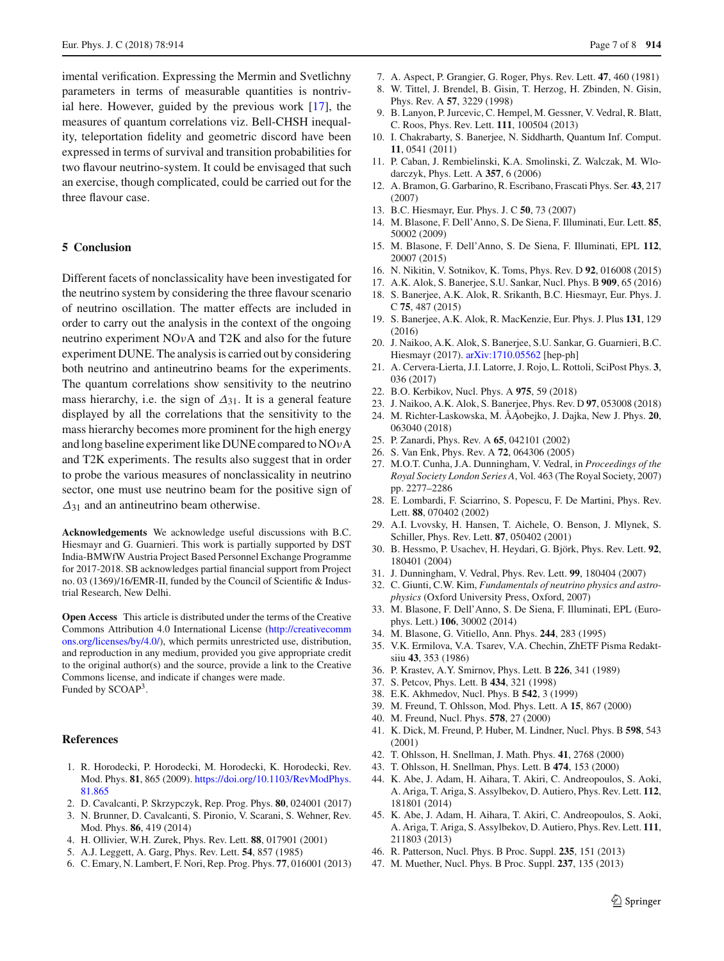imental verification. Expressing the Mermin and Svetlichny parameters in terms of measurable quantities is nontrivial here. However, guided by the previous work [\[17](#page-6-16)], the measures of quantum correlations viz. Bell-CHSH inequality, teleportation fidelity and geometric discord have been expressed in terms of survival and transition probabilities for two flavour neutrino-system. It could be envisaged that such an exercise, though complicated, could be carried out for the three flavour case.

## <span id="page-6-19"></span>**5 Conclusion**

Different facets of nonclassicality have been investigated for the neutrino system by considering the three flavour scenario of neutrino oscillation. The matter effects are included in order to carry out the analysis in the context of the ongoing neutrino experiment NOνA and T2K and also for the future experiment DUNE. The analysis is carried out by considering both neutrino and antineutrino beams for the experiments. The quantum correlations show sensitivity to the neutrino mass hierarchy, i.e. the sign of  $\Delta_{31}$ . It is a general feature displayed by all the correlations that the sensitivity to the mass hierarchy becomes more prominent for the high energy and long baseline experiment like DUNE compared to NOνA and T2K experiments. The results also suggest that in order to probe the various measures of nonclassicality in neutrino sector, one must use neutrino beam for the positive sign of  $\Delta_{31}$  and an antineutrino beam otherwise.

**Acknowledgements** We acknowledge useful discussions with B.C. Hiesmayr and G. Guarnieri. This work is partially supported by DST India-BMWfW Austria Project Based Personnel Exchange Programme for 2017-2018. SB acknowledges partial financial support from Project no. 03 (1369)/16/EMR-II, funded by the Council of Scientific & Industrial Research, New Delhi.

**Open Access** This article is distributed under the terms of the Creative Commons Attribution 4.0 International License [\(http://creativecomm](http://creativecommons.org/licenses/by/4.0/) [ons.org/licenses/by/4.0/\)](http://creativecommons.org/licenses/by/4.0/), which permits unrestricted use, distribution, and reproduction in any medium, provided you give appropriate credit to the original author(s) and the source, provide a link to the Creative Commons license, and indicate if changes were made. Funded by SCOAP<sup>3</sup>.

#### **References**

- <span id="page-6-0"></span>1. R. Horodecki, P. Horodecki, M. Horodecki, K. Horodecki, Rev. Mod. Phys. **81**, 865 (2009). [https://doi.org/10.1103/RevModPhys.](https://doi.org/10.1103/RevModPhys.81.865) [81.865](https://doi.org/10.1103/RevModPhys.81.865)
- <span id="page-6-1"></span>2. D. Cavalcanti, P. Skrzypczyk, Rep. Prog. Phys. **80**, 024001 (2017)
- <span id="page-6-2"></span>3. N. Brunner, D. Cavalcanti, S. Pironio, V. Scarani, S. Wehner, Rev.
- Mod. Phys. **86**, 419 (2014) 4. H. Ollivier, W.H. Zurek, Phys. Rev. Lett. **88**, 017901 (2001)
- <span id="page-6-4"></span><span id="page-6-3"></span>5. A.J. Leggett, A. Garg, Phys. Rev. Lett. **54**, 857 (1985)
- <span id="page-6-5"></span>6. C. Emary, N. Lambert, F. Nori, Rep. Prog. Phys. **77**, 016001 (2013)
- <span id="page-6-6"></span>7. A. Aspect, P. Grangier, G. Roger, Phys. Rev. Lett. **47**, 460 (1981)
- 8. W. Tittel, J. Brendel, B. Gisin, T. Herzog, H. Zbinden, N. Gisin, Phys. Rev. A **57**, 3229 (1998)
- 9. B. Lanyon, P. Jurcevic, C. Hempel, M. Gessner, V. Vedral, R. Blatt, C. Roos, Phys. Rev. Lett. **111**, 100504 (2013)
- <span id="page-6-7"></span>10. I. Chakrabarty, S. Banerjee, N. Siddharth, Quantum Inf. Comput. **11**, 0541 (2011)
- <span id="page-6-8"></span>11. P. Caban, J. Rembielinski, K.A. Smolinski, Z. Walczak, M. Wlodarczyk, Phys. Lett. A **357**, 6 (2006)
- 12. A. Bramon, G. Garbarino, R. Escribano, Frascati Phys. Ser. **43**, 217 (2007)
- 13. B.C. Hiesmayr, Eur. Phys. J. C **50**, 73 (2007)
- <span id="page-6-15"></span>14. M. Blasone, F. Dell'Anno, S. De Siena, F. Illuminati, Eur. Lett. **85**, 50002 (2009)
- 15. M. Blasone, F. Dell'Anno, S. De Siena, F. Illuminati, EPL **112**, 20007 (2015)
- 16. N. Nikitin, V. Sotnikov, K. Toms, Phys. Rev. D **92**, 016008 (2015)
- <span id="page-6-16"></span>17. A.K. Alok, S. Banerjee, S.U. Sankar, Nucl. Phys. B **909**, 65 (2016)
- <span id="page-6-17"></span>18. S. Banerjee, A.K. Alok, R. Srikanth, B.C. Hiesmayr, Eur. Phys. J. C **75**, 487 (2015)
- 19. S. Banerjee, A.K. Alok, R. MacKenzie, Eur. Phys. J. Plus **131**, 129 (2016)
- 20. J. Naikoo, A.K. Alok, S. Banerjee, S.U. Sankar, G. Guarnieri, B.C. Hiesmayr (2017). [arXiv:1710.05562](http://arxiv.org/abs/1710.05562) [hep-ph]
- 21. A. Cervera-Lierta, J.I. Latorre, J. Rojo, L. Rottoli, SciPost Phys. **3**, 036 (2017)
- 22. B.O. Kerbikov, Nucl. Phys. A **975**, 59 (2018)
- 23. J. Naikoo, A.K. Alok, S. Banerjee, Phys. Rev. D **97**, 053008 (2018)
- <span id="page-6-9"></span>24. M. Richter-Laskowska, M. ÅA˛obejko, J. Dajka, New J. Phys. **20**, 063040 (2018)
- <span id="page-6-10"></span>25. P. Zanardi, Phys. Rev. A **65**, 042101 (2002)
- 26. S. Van Enk, Phys. Rev. A **72**, 064306 (2005)
- <span id="page-6-11"></span>27. M.O.T. Cunha, J.A. Dunningham, V. Vedral, in *Proceedings of the Royal Society London Series A*, Vol. 463 (The Royal Society, 2007) pp. 2277–2286
- <span id="page-6-12"></span>28. E. Lombardi, F. Sciarrino, S. Popescu, F. De Martini, Phys. Rev. Lett. **88**, 070402 (2002)
- 29. A.I. Lvovsky, H. Hansen, T. Aichele, O. Benson, J. Mlynek, S. Schiller, Phys. Rev. Lett. **87**, 050402 (2001)
- <span id="page-6-13"></span>30. B. Hessmo, P. Usachev, H. Heydari, G. Björk, Phys. Rev. Lett. **92**, 180401 (2004)
- <span id="page-6-14"></span>31. J. Dunningham, V. Vedral, Phys. Rev. Lett. **99**, 180404 (2007)
- <span id="page-6-18"></span>32. C. Giunti, C.W. Kim, *Fundamentals of neutrino physics and astrophysics* (Oxford University Press, Oxford, 2007)
- <span id="page-6-20"></span>33. M. Blasone, F. Dell'Anno, S. De Siena, F. Illuminati, EPL (Europhys. Lett.) **106**, 30002 (2014)
- <span id="page-6-21"></span>34. M. Blasone, G. Vitiello, Ann. Phys. **244**, 283 (1995)
- <span id="page-6-22"></span>35. V.K. Ermilova, V.A. Tsarev, V.A. Chechin, ZhETF Pisma Redaktsiiu **43**, 353 (1986)
- 36. P. Krastev, A.Y. Smirnov, Phys. Lett. B **226**, 341 (1989)
- 37. S. Petcov, Phys. Lett. B **434**, 321 (1998)
- 38. E.K. Akhmedov, Nucl. Phys. B **542**, 3 (1999)
- 39. M. Freund, T. Ohlsson, Mod. Phys. Lett. A **15**, 867 (2000)
- 40. M. Freund, Nucl. Phys. **578**, 27 (2000)
- <span id="page-6-23"></span>41. K. Dick, M. Freund, P. Huber, M. Lindner, Nucl. Phys. B **598**, 543 (2001)
- <span id="page-6-24"></span>42. T. Ohlsson, H. Snellman, J. Math. Phys. **41**, 2768 (2000)
- <span id="page-6-25"></span>43. T. Ohlsson, H. Snellman, Phys. Lett. B **474**, 153 (2000)
- <span id="page-6-26"></span>44. K. Abe, J. Adam, H. Aihara, T. Akiri, C. Andreopoulos, S. Aoki, A. Ariga, T. Ariga, S. Assylbekov, D. Autiero, Phys. Rev. Lett. **112**, 181801 (2014)
- <span id="page-6-27"></span>45. K. Abe, J. Adam, H. Aihara, T. Akiri, C. Andreopoulos, S. Aoki, A. Ariga, T. Ariga, S. Assylbekov, D. Autiero, Phys. Rev. Lett. **111**, 211803 (2013)
- <span id="page-6-28"></span>46. R. Patterson, Nucl. Phys. B Proc. Suppl. **235**, 151 (2013)
- 47. M. Muether, Nucl. Phys. B Proc. Suppl. **237**, 135 (2013)